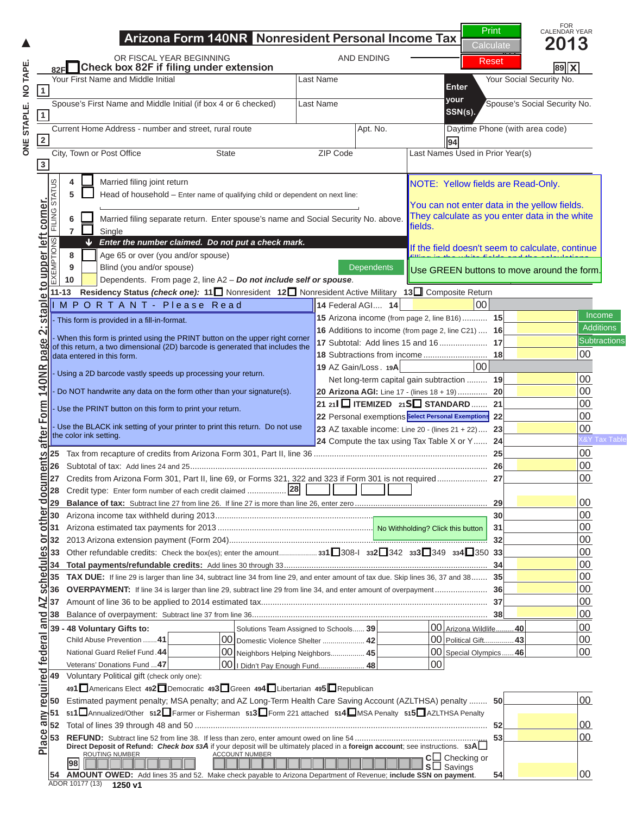### **Arizona Form 140NR Nonresident Personal Income Tax Return OR FISCAL YEAR BEGINNING AND ENDING AND ENDING AND ENDING AND ENDING AND ENDING AND ENDING AND ENDING AND ENDING AND ENDING AND ENDING AND ENDING AND ENDING AND ENDING AND ENDING AND ENDING AND ENDING AND ENDING AND ENDIN 82F Check box 82F if filing under extension** NOTICE



**15** Arizona income (from page 2, line B16) ........... **15** 00 **16 Additions to income (from page 2, line C21)** ... **16**  $\overline{A}$ **17** Subtotal: Add lines 15 and 16 ..................... **17** 00

Net long-term capital gain subtraction ......... **19** 00

**<sup>21</sup> <sup>21</sup>I ITEMIZED 21S STANDARD** ....... **21** 00 **22** Personal exemptions ................................... **22** 00 **23** AZ taxable income: Line 20 - (lines 21 + 22) .... **23** 00

X&Y Tax Table

**Select Personal Exemptions**

# Current Home Address - number and street, rural route Apt. No. Daytime Phone (with area code) N O T I C E

#### **If the field doesn't seem to calculate, continue<br>
<b>PMP 80 RCVD NOTE: Yellow fields are Read-Only. 8** Age 65 or over (you and/or spouse) **Prince (9)** this is NOT a completed of the field doesn't seem to calculate, correspondents **5** Head of household – Enter name of qualifying child or dependent on next line: **6** Married filing separate return. Enter spouse's name and Social Security No. above. **If** you are viewing this stread as you enter data in the yellow fields. NOTE: Yellow fields are Read-Only. You can not enter data in the yellow fields. They calculate as you enter data in the white fields. filling in the white fields and the calculations and the calculations and the calculations of the calculations Use GREEN buttons to move around the form.

 **11-13 Residency Status** *(check one):* **<sup>11</sup>** Nonresident **<sup>12</sup>** Nonresident Active Military **<sup>13</sup>** Composite Return

#### I M P O R T A N T - P l e a s e R e a d

This form is provided in a fill-in-format.

This form is provided in a fill-in-format.<br>
24 Computer this return, a two dimensional (2D) barcode is generated that includes the<br>
dida entered in this form.<br>
25 Or NOT handwrite any data on the form other than your signa - When this form is printed using the PRINT button on the upper right corner of this return, a two dimensional (2D) barcode is generated that includes the data entered in this form.

- Using a 2D barcode vastly speeds up processing your return.

- Do NOT handwrite any data on the form other than your signature(s).

- Use the PRINT button on this form to print your return.

- Use the BLACK ink setting of your printer to print this return. Do not use

## **25** Tax from recapture of credits from Arizona Form 301, Part II, line 36 ............................................................................ **25** 00 **26** Subtotal of tax: Add lines 24 and 25 .................................................................................................................................. **26** 00 click on the PRINT button.

**30** Arizona income tax withheld during 2013 ....................................................................................................................... **30** 00

# **88**<br> **16 EXERCISE CONDUCTS**<br> **18 EXERCISE CONDUCTS**<br> **18 Click on the PRINT button**<br> **18 Clicking the PRINT button**<br> **18 Clicking the PRINT button**<br> **18 CLING STATUS CONDUCTS**<br> **18 CLING STATUS EXEMPTION 31 No Withholding? Click this button 32** 2013 Arizona extension payment (Form 204) ................................................................................................................. **32** 00 **<sup>33</sup>** Other refundable credits: Check the box(es); enter the amount ................... **<sup>331</sup>**308-I **<sup>332</sup>**<sup>342</sup>**<sup>333</sup>**<sup>349</sup>**<sup>334</sup>**<sup>350</sup>**<sup>33</sup>** 00 Clicking the PRINT button **35 TAX DUE:** If line 29 is larger than line 34, subtract line 34 from line 29, and enter amount of tax due. Skip lines 36, 37 and 38 ....... **35** 00 **36 OVERPAYMENT:** If line 34 is larger than line 29, subtract line 29 from line 34, and enter amount of overpayment ....................... **36** 00 **37** Amount of line 36 to be applied to 2014 estimated tax ................................................................................................... **37** 00 will perform the calculations  **39 - 48 Voluntary Gifts to:** Solutions Team Assigned to Schools ...... **39** 00 Arizona Wildlife .........**40** 00 Child Abuse Prevention .......**41** 00 Domestic Violence Shelter ..................... **42** 00 Political Gift...............**43** 00 one last time and Veterans' Donations Fund ...**47** 00 I Didn't Pay Enough Fund....................... **48** 00  $49$  Volume Political gift (check one): **<sup>491</sup>**Americans Elect **<sup>492</sup>**Democratic **<sup>493</sup>**Green **<sup>494</sup>**Libertarian **<sup>495</sup>**Republican **Example 1** Estimated barcode. **<sup>51</sup> <sup>511</sup>**Annualized/Other **<sup>512</sup>**Farmer or Fisherman **<sup>513</sup>**Form 221 attached **<sup>514</sup>**MSA Penalty **<sup>515</sup>**AZLTHSA Penalty

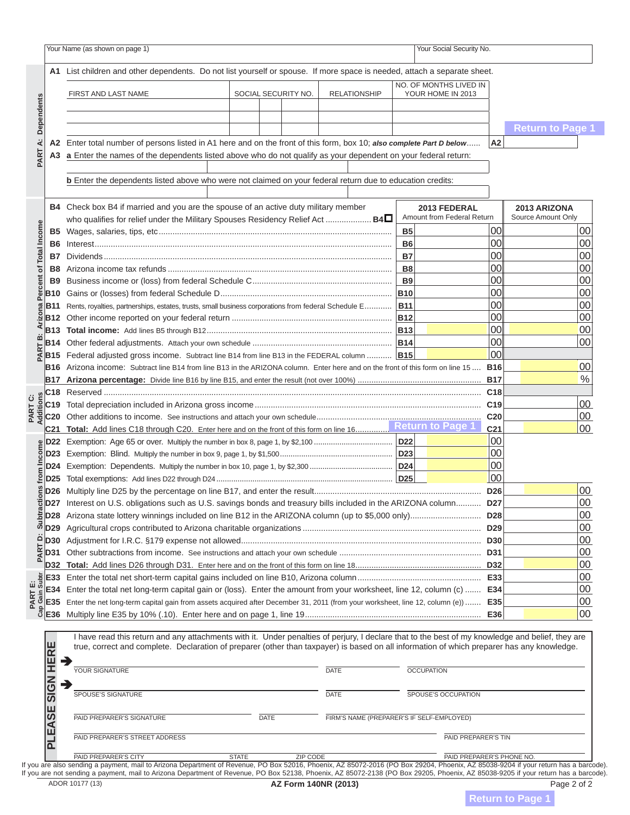# $\mathbb{N}$  is shown on page 1)  $\mathbb{N}$  is the page 1)  $\mathbb{N}$  is the page 1)  $\mathbb{N}$ **A2** Enter total number of persons listed in A1 here and on the front of this form, box 10; *also complete Part D below* ...... **A2** N O T I C E N O T I C E



### who are winwing this moccono **B4** Check box B4 if married and you are the spouse of an active duty military member <u>BE VOU ALE VIEWINU LIIIS INESSAUE.</u> If you are viewing this message,  $B_1: \mathbb{R}^1 \times \mathbb{R}^1 \cap \mathbb{T}^1 \times \mathbb{R}^1 \times \mathbb{R}^1 \times \mathbb{R}^1 \times \mathbb{R}^1 \times \mathbb{R}^1 \times \mathbb{R}^1 \times \mathbb{R}^1 \times \mathbb{R}^1 \times \mathbb{R}^1 \times \mathbb{R}^1 \times \mathbb{R}^1 \times \mathbb{R}^1 \times \mathbb{R}^1 \times \mathbb{R}^1 \times \mathbb{R}^1 \times \mathbb{R}^1 \times \mathbb{R}^1 \times \mathbb{R}^1 \times \mathbb{R}^$ **B8** Arizona income tax refunds .................................................................................................. **B8** 00 00 this is NOT a complete return.

**C20** Other additions to income. See instructions and attach your own schedule ........................................................................ **C20** 00  $\mathbf{T}_{\infty}$  is in the form on the front of the front of the form on the form on the front of the form on  $\mathbf{I}_{\infty}$  . The form on  $\mathbf{I}_{\infty}$  of the form on  $\mathbf{I}_{\infty}$  of the form of the form on  $\mathbf{I}_{\infty}$  **D22** Exemption: Age 65 or over. Multiply the number in box 8, page 1, by \$2,100 ..................................... **D22** 00 To print a completed **Figure 1, ITD: D24** Exemption: Dependents. Multiply the number in box 10, page 1, by \$2,300 ....................................... **D24** 00 **D25** Total exemptions: Add lines D22 through D24 ................................................................................... **D25** 00 click on the PRINT button.

**D31** Other subtractions from income. See instructions and attach your own schedule .............................................................. **D31** 00 **D32 Total:** Add lines D26 through D31. Enter here and on the front of this form on line 18 ....................................................... **D32** 00 Clicking the PRINT button  **E34** Enter the total net long-term capital gain or (loss). Enter the amount from your worksheet, line 12, column (c) ....... **E34** 00  **E35** Enter the net long-term capital gain from assets acquired after December 31, 2011 (from your worksheet, line 12, column (e)) ....... **E35** 00 **E36** MULTIPLIC DENTER LINE CARDINALION R I have read this return and any attachments with it. Under penalties of perjury, I declare that to the best of my knowledge and belief, they are true, correct and complete. Declaration of preparer (other than taxpayer) is based on all information of which preparer has any knowledge. one last time and  $\Box$ update the barcode. will perform the calculations